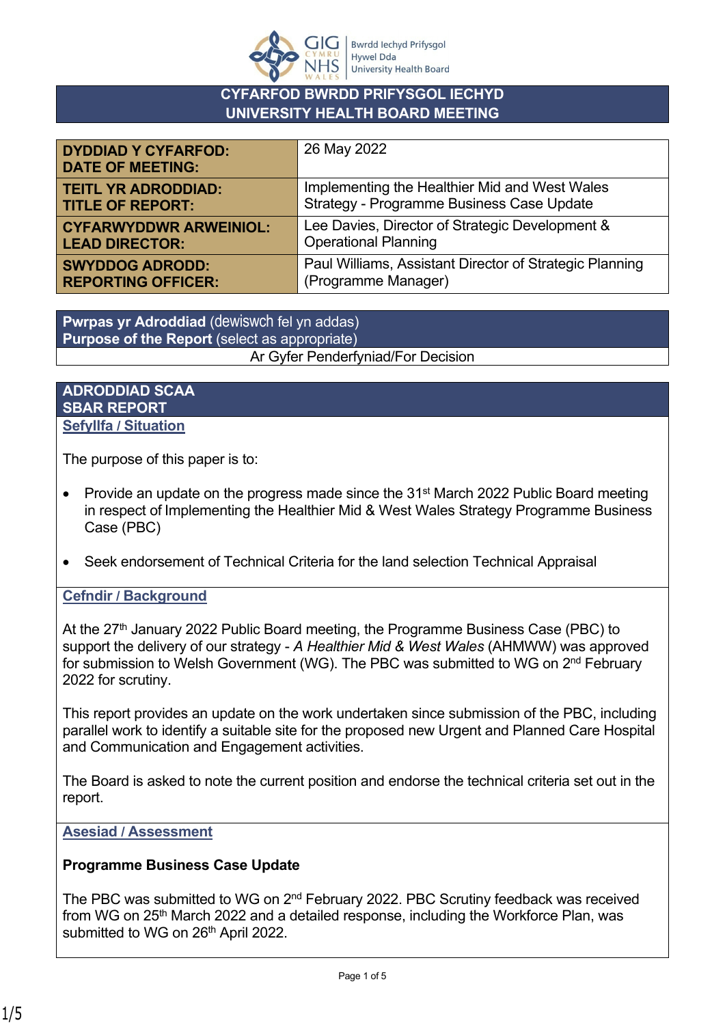

#### **CYFARFOD BWRDD PRIFYSGOL IECHYD UNIVERSITY HEALTH BOARD MEETING**

| <b>DYDDIAD Y CYFARFOD:</b><br><b>DATE OF MEETING:</b> | 26 May 2022                                             |
|-------------------------------------------------------|---------------------------------------------------------|
| <b>TEITL YR ADRODDIAD:</b>                            | Implementing the Healthier Mid and West Wales           |
| <b>TITLE OF REPORT:</b>                               | Strategy - Programme Business Case Update               |
| <b>CYFARWYDDWR ARWEINIOL:</b>                         | Lee Davies, Director of Strategic Development &         |
| <b>LEAD DIRECTOR:</b>                                 | <b>Operational Planning</b>                             |
| <b>SWYDDOG ADRODD:</b>                                | Paul Williams, Assistant Director of Strategic Planning |
| <b>REPORTING OFFICER:</b>                             | (Programme Manager)                                     |

**Pwrpas yr Adroddiad** (dewiswch fel yn addas) **Purpose of the Report** (select as appropriate) Ar Gyfer Penderfyniad/For Decision

#### **ADRODDIAD SCAA SBAR REPORT Sefyllfa / Situation**

The purpose of this paper is to:

- Provide an update on the progress made since the  $31<sup>st</sup>$  March 2022 Public Board meeting in respect of Implementing the Healthier Mid & West Wales Strategy Programme Business Case (PBC)
- Seek endorsement of Technical Criteria for the land selection Technical Appraisal

#### **Cefndir / Background**

At the 27<sup>th</sup> January 2022 Public Board meeting, the Programme Business Case (PBC) to support the delivery of our strategy - *A Healthier Mid & West Wales* (AHMWW) was approved for submission to Welsh Government (WG). The PBC was submitted to WG on 2nd February 2022 for scrutiny.

This report provides an update on the work undertaken since submission of the PBC, including parallel work to identify a suitable site for the proposed new Urgent and Planned Care Hospital and Communication and Engagement activities.

The Board is asked to note the current position and endorse the technical criteria set out in the report.

#### **Asesiad / Assessment**

#### **Programme Business Case Update**

The PBC was submitted to WG on 2<sup>nd</sup> February 2022. PBC Scrutiny feedback was received from WG on 25<sup>th</sup> March 2022 and a detailed response, including the Workforce Plan, was submitted to WG on 26<sup>th</sup> April 2022.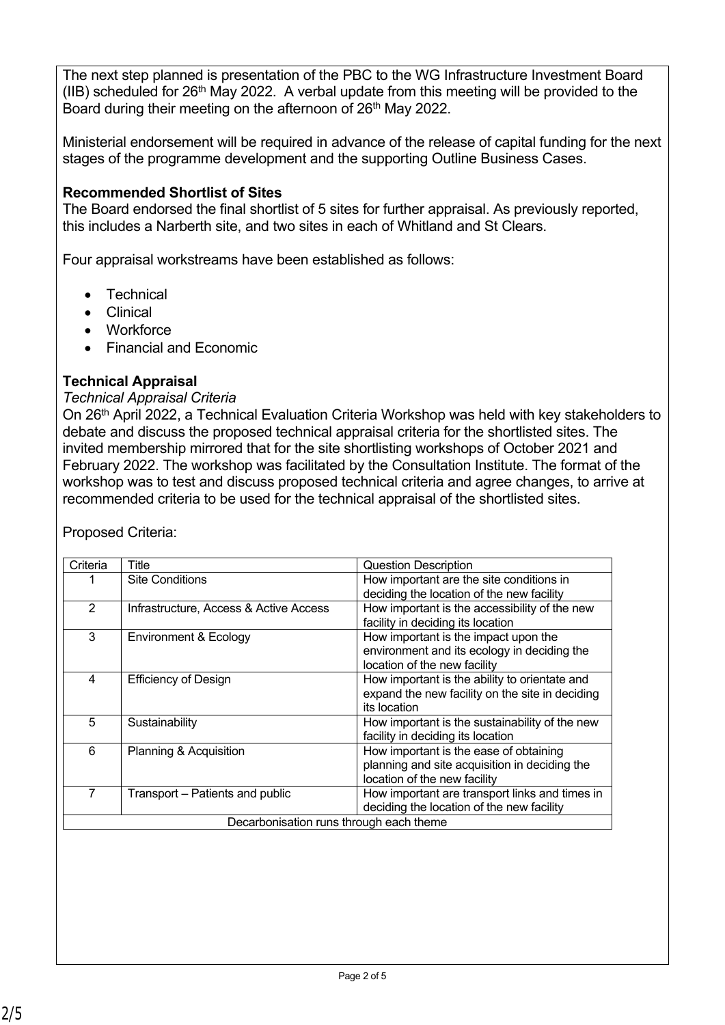The next step planned is presentation of the PBC to the WG Infrastructure Investment Board (IIB) scheduled for  $26<sup>th</sup>$  May 2022. A verbal update from this meeting will be provided to the Board during their meeting on the afternoon of 26<sup>th</sup> May 2022.

Ministerial endorsement will be required in advance of the release of capital funding for the next stages of the programme development and the supporting Outline Business Cases.

### **Recommended Shortlist of Sites**

The Board endorsed the final shortlist of 5 sites for further appraisal. As previously reported, this includes a Narberth site, and two sites in each of Whitland and St Clears.

Four appraisal workstreams have been established as follows:

- **Technical**
- Clinical
- Workforce
- Financial and Economic

### **Technical Appraisal**

#### *Technical Appraisal Criteria*

On 26<sup>th</sup> April 2022, a Technical Evaluation Criteria Workshop was held with key stakeholders to debate and discuss the proposed technical appraisal criteria for the shortlisted sites. The invited membership mirrored that for the site shortlisting workshops of October 2021 and February 2022. The workshop was facilitated by the Consultation Institute. The format of the workshop was to test and discuss proposed technical criteria and agree changes, to arrive at recommended criteria to be used for the technical appraisal of the shortlisted sites.

| Criteria                                | Title                                  | Question Description                                                                                                    |
|-----------------------------------------|----------------------------------------|-------------------------------------------------------------------------------------------------------------------------|
|                                         | <b>Site Conditions</b>                 | How important are the site conditions in<br>deciding the location of the new facility                                   |
| $\overline{2}$                          | Infrastructure, Access & Active Access | How important is the accessibility of the new<br>facility in deciding its location                                      |
| 3                                       | Environment & Ecology                  | How important is the impact upon the<br>environment and its ecology in deciding the<br>location of the new facility     |
| 4                                       | <b>Efficiency of Design</b>            | How important is the ability to orientate and<br>expand the new facility on the site in deciding<br>its location        |
| 5                                       | Sustainability                         | How important is the sustainability of the new<br>facility in deciding its location                                     |
| 6                                       | Planning & Acquisition                 | How important is the ease of obtaining<br>planning and site acquisition in deciding the<br>location of the new facility |
| 7                                       | Transport – Patients and public        | How important are transport links and times in<br>deciding the location of the new facility                             |
| Decarbonisation runs through each theme |                                        |                                                                                                                         |

Proposed Criteria: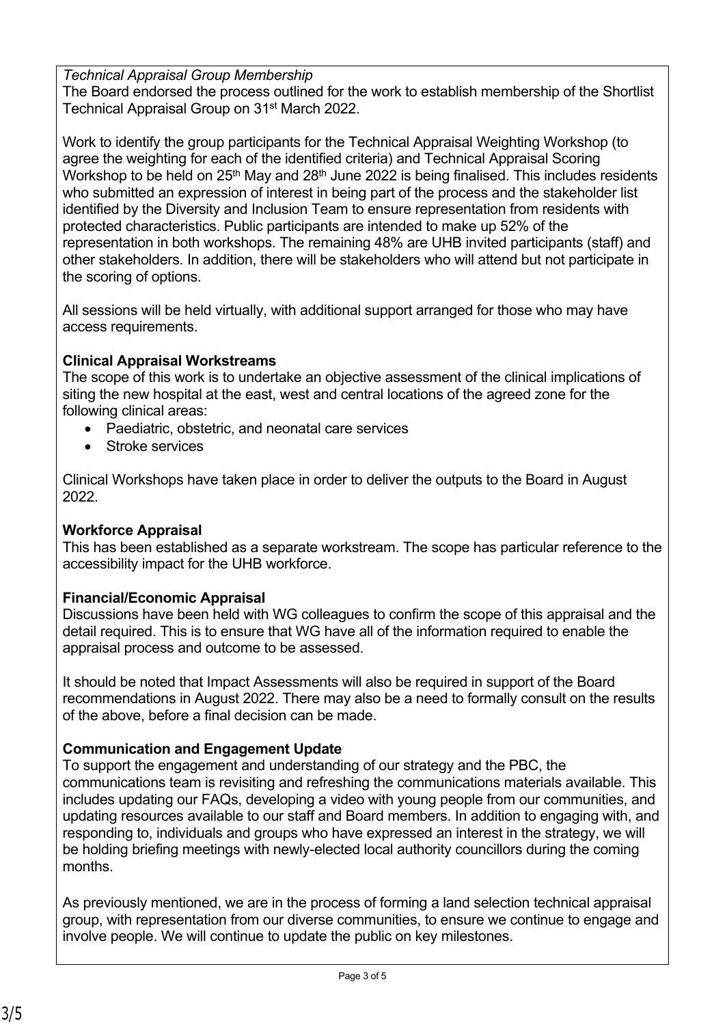*Technical Appraisal Group Membership*

The Board endorsed the process outlined for the work to establish membership of the Shortlist Technical Appraisal Group on 31<sup>st</sup> March 2022.

Work to identify the group participants for the Technical Appraisal Weighting Workshop (to agree the weighting for each of the identified criteria) and Technical Appraisal Scoring Workshop to be held on  $25<sup>th</sup>$  May and  $28<sup>th</sup>$  June 2022 is being finalised. This includes residents who submitted an expression of interest in being part of the process and the stakeholder list identified by the Diversity and Inclusion Team to ensure representation from residents with protected characteristics. Public participants are intended to make up 52% of the representation in both workshops. The remaining 48% are UHB invited participants (staff) and other stakeholders. In addition, there will be stakeholders who will attend but not participate in the scoring of options.

All sessions will be held virtually, with additional support arranged for those who may have access requirements.

## **Clinical Appraisal Workstreams**

The scope of this work is to undertake an objective assessment of the clinical implications of siting the new hospital at the east, west and central locations of the agreed zone for the following clinical areas:

- Paediatric, obstetric, and neonatal care services
- Stroke services

Clinical Workshops have taken place in order to deliver the outputs to the Board in August 2022.

# **Workforce Appraisal**

This has been established as a separate workstream. The scope has particular reference to the accessibility impact for the UHB workforce.

# **Financial/Economic Appraisal**

Discussions have been held with WG colleagues to confirm the scope of this appraisal and the detail required. This is to ensure that WG have all of the information required to enable the appraisal process and outcome to be assessed.

It should be noted that Impact Assessments will also be required in support of the Board recommendations in August 2022. There may also be a need to formally consult on the results of the above, before a final decision can be made.

# **Communication and Engagement Update**

To support the engagement and understanding of our strategy and the PBC, the communications team is revisiting and refreshing the communications materials available. This includes updating our FAQs, developing a video with young people from our communities, and updating resources available to our staff and Board members. In addition to engaging with, and responding to, individuals and groups who have expressed an interest in the strategy, we will be holding briefing meetings with newly-elected local authority councillors during the coming months.

As previously mentioned, we are in the process of forming a land selection technical appraisal group, with representation from our diverse communities, to ensure we continue to engage and involve people. We will continue to update the public on key milestones.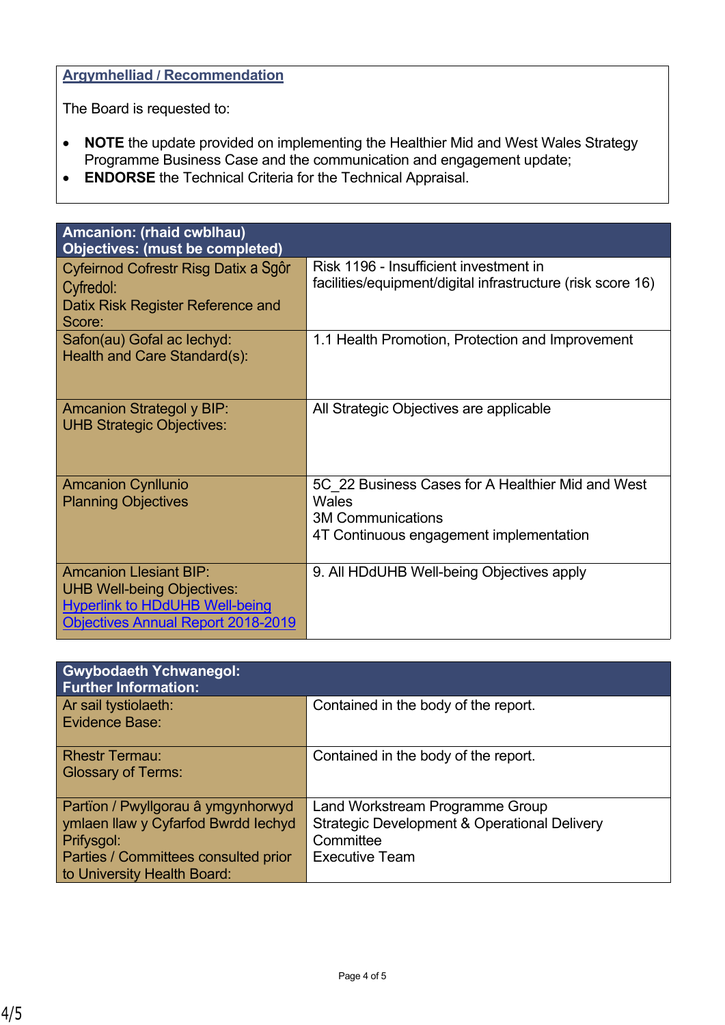### **Argymhelliad / Recommendation**

The Board is requested to:

- **NOTE** the update provided on implementing the Healthier Mid and West Wales Strategy Programme Business Case and the communication and engagement update;
- **ENDORSE** the Technical Criteria for the Technical Appraisal.

| Amcanion: (rhaid cwblhau)<br><b>Objectives: (must be completed)</b>                                                                                      |                                                                                                                                   |
|----------------------------------------------------------------------------------------------------------------------------------------------------------|-----------------------------------------------------------------------------------------------------------------------------------|
| Cyfeirnod Cofrestr Risg Datix a Sgôr<br>Cyfredol:<br>Datix Risk Register Reference and<br>Score:                                                         | Risk 1196 - Insufficient investment in<br>facilities/equipment/digital infrastructure (risk score 16)                             |
| Safon(au) Gofal ac lechyd:<br>Health and Care Standard(s):                                                                                               | 1.1 Health Promotion, Protection and Improvement                                                                                  |
| <b>Amcanion Strategol y BIP:</b><br><b>UHB Strategic Objectives:</b>                                                                                     | All Strategic Objectives are applicable                                                                                           |
| <b>Amcanion Cynllunio</b><br><b>Planning Objectives</b>                                                                                                  | 5C 22 Business Cases for A Healthier Mid and West<br>Wales<br><b>3M Communications</b><br>4T Continuous engagement implementation |
| <b>Amcanion Llesiant BIP:</b><br><b>UHB Well-being Objectives:</b><br><b>Hyperlink to HDdUHB Well-being</b><br><b>Objectives Annual Report 2018-2019</b> | 9. All HDdUHB Well-being Objectives apply                                                                                         |

| <b>Gwybodaeth Ychwanegol:</b><br><b>Further Information:</b>                            |                                                                                                         |
|-----------------------------------------------------------------------------------------|---------------------------------------------------------------------------------------------------------|
| Ar sail tystiolaeth:<br>Evidence Base:                                                  | Contained in the body of the report.                                                                    |
| <b>Rhestr Termau:</b><br><b>Glossary of Terms:</b>                                      | Contained in the body of the report.                                                                    |
| Partïon / Pwyllgorau â ymgynhorwyd<br>ymlaen llaw y Cyfarfod Bwrdd Iechyd<br>Prifysgol: | Land Workstream Programme Group<br><b>Strategic Development &amp; Operational Delivery</b><br>Committee |
| Parties / Committees consulted prior<br>to University Health Board:                     | <b>Executive Team</b>                                                                                   |